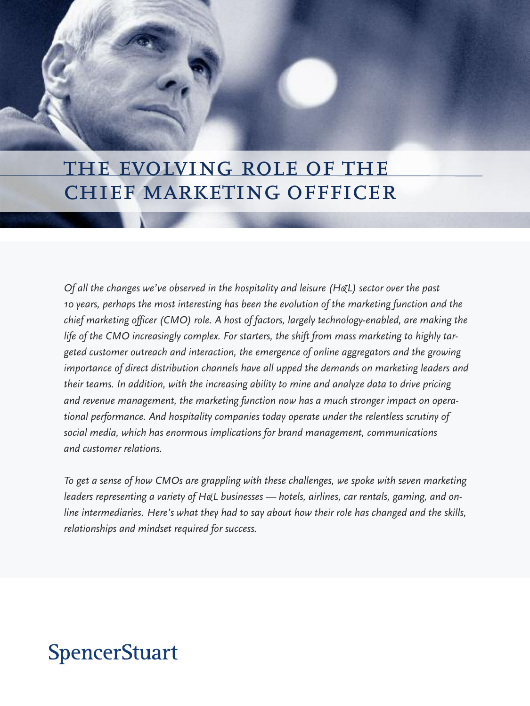## the evolving role of the chief marketing offficer

*Of all the changes we've observed in the hospitality and leisure (H&L) sector over the past 10 years, perhaps the most interesting has been the evolution of the marketing function and the chief marketing officer (CMO) role. A host of factors, largely technology-enabled, are making the life of the CMO increasingly complex. For starters, the shift from mass marketing to highly targeted customer outreach and interaction, the emergence of online aggregators and the growing importance of direct distribution channels have all upped the demands on marketing leaders and their teams. In addition, with the increasing ability to mine and analyze data to drive pricing and revenue management, the marketing function now has a much stronger impact on operational performance. And hospitality companies today operate under the relentless scrutiny of social media, which has enormous implications for brand management, communications and customer relations.*

*To get a sense of how CMOs are grappling with these challenges, we spoke with seven marketing leaders representing a variety of H&L businesses — hotels, airlines, car rentals, gaming, and online intermediaries. Here's what they had to say about how their role has changed and the skills, relationships and mindset required for success.*

# **SpencerStuart**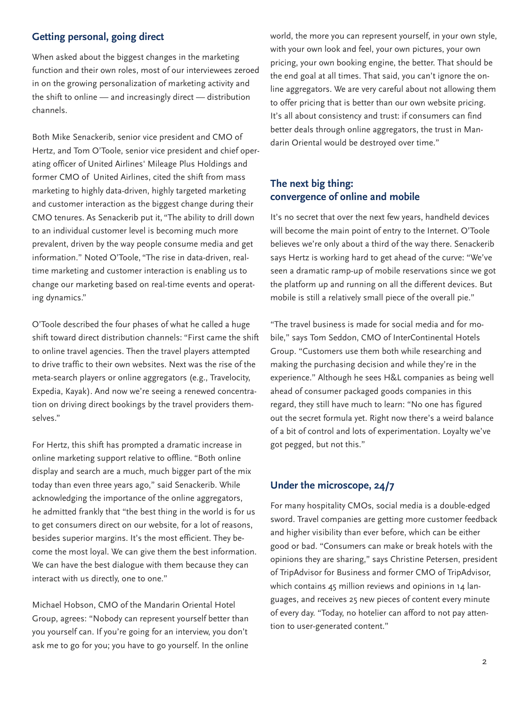## **Getting personal, going direct**

When asked about the biggest changes in the marketing function and their own roles, most of our interviewees zeroed in on the growing personalization of marketing activity and the shift to online — and increasingly direct — distribution channels.

Both Mike Senackerib, senior vice president and CMO of Hertz, and Tom O'Toole, senior vice president and chief operating officer of United Airlines' Mileage Plus Holdings and former CMO of United Airlines, cited the shift from mass marketing to highly data-driven, highly targeted marketing and customer interaction as the biggest change during their CMO tenures. As Senackerib put it, "The ability to drill down to an individual customer level is becoming much more prevalent, driven by the way people consume media and get information." Noted O'Toole, "The rise in data-driven, realtime marketing and customer interaction is enabling us to change our marketing based on real-time events and operating dynamics."

O'Toole described the four phases of what he called a huge shift toward direct distribution channels: "First came the shift to online travel agencies. Then the travel players attempted to drive traffic to their own websites. Next was the rise of the meta-search players or online aggregators (e.g., Travelocity, Expedia, Kayak). And now we're seeing a renewed concentration on driving direct bookings by the travel providers themselves."

For Hertz, this shift has prompted a dramatic increase in online marketing support relative to offline. "Both online display and search are a much, much bigger part of the mix today than even three years ago," said Senackerib. While acknowledging the importance of the online aggregators, he admitted frankly that "the best thing in the world is for us to get consumers direct on our website, for a lot of reasons, besides superior margins. It's the most efficient. They become the most loyal. We can give them the best information. We can have the best dialogue with them because they can interact with us directly, one to one."

Michael Hobson, CMO of the Mandarin Oriental Hotel Group, agrees: "Nobody can represent yourself better than you yourself can. If you're going for an interview, you don't ask me to go for you; you have to go yourself. In the online

world, the more you can represent yourself, in your own style, with your own look and feel, your own pictures, your own pricing, your own booking engine, the better. That should be the end goal at all times. That said, you can't ignore the online aggregators. We are very careful about not allowing them to offer pricing that is better than our own website pricing. It's all about consistency and trust: if consumers can find better deals through online aggregators, the trust in Mandarin Oriental would be destroyed over time."

## **The next big thing: convergence of online and mobile**

It's no secret that over the next few years, handheld devices will become the main point of entry to the Internet. O'Toole believes we're only about a third of the way there. Senackerib says Hertz is working hard to get ahead of the curve: "We've seen a dramatic ramp-up of mobile reservations since we got the platform up and running on all the different devices. But mobile is still a relatively small piece of the overall pie."

"The travel business is made for social media and for mobile," says Tom Seddon, CMO of InterContinental Hotels Group. "Customers use them both while researching and making the purchasing decision and while they're in the experience." Although he sees H&L companies as being well ahead of consumer packaged goods companies in this regard, they still have much to learn: "No one has figured out the secret formula yet. Right now there's a weird balance of a bit of control and lots of experimentation. Loyalty we've got pegged, but not this."

#### **Under the microscope, 24/7**

For many hospitality CMOs, social media is a double-edged sword. Travel companies are getting more customer feedback and higher visibility than ever before, which can be either good or bad. "Consumers can make or break hotels with the opinions they are sharing," says Christine Petersen, president of TripAdvisor for Business and former CMO of TripAdvisor, which contains 45 million reviews and opinions in 14 languages, and receives 25 new pieces of content every minute of every day. "Today, no hotelier can afford to not pay attention to user-generated content."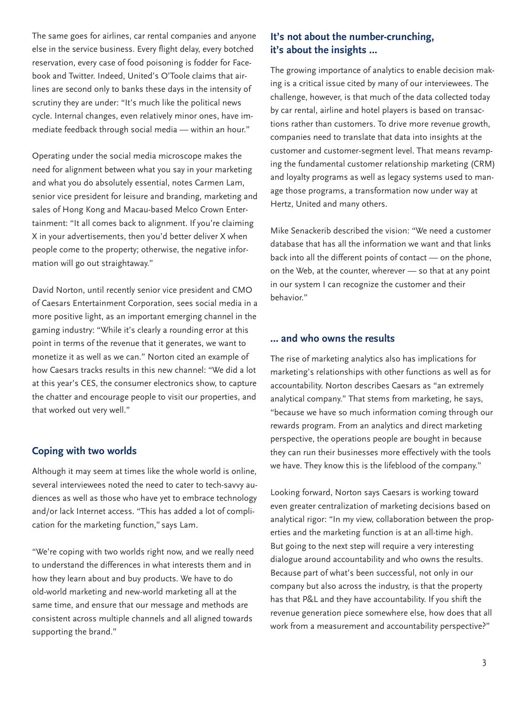The same goes for airlines, car rental companies and anyone else in the service business. Every flight delay, every botched reservation, every case of food poisoning is fodder for Facebook and Twitter. Indeed, United's O'Toole claims that airlines are second only to banks these days in the intensity of scrutiny they are under: "It's much like the political news cycle. Internal changes, even relatively minor ones, have immediate feedback through social media — within an hour."

Operating under the social media microscope makes the need for alignment between what you say in your marketing and what you do absolutely essential, notes Carmen Lam, senior vice president for leisure and branding, marketing and sales of Hong Kong and Macau-based Melco Crown Entertainment: "It all comes back to alignment. If you're claiming X in your advertisements, then you'd better deliver X when people come to the property; otherwise, the negative information will go out straightaway."

David Norton, until recently senior vice president and CMO of Caesars Entertainment Corporation, sees social media in a more positive light, as an important emerging channel in the gaming industry: "While it's clearly a rounding error at this point in terms of the revenue that it generates, we want to monetize it as well as we can." Norton cited an example of how Caesars tracks results in this new channel: "We did a lot at this year's CES, the consumer electronics show, to capture the chatter and encourage people to visit our properties, and that worked out very well."

#### **Coping with two worlds**

Although it may seem at times like the whole world is online, several interviewees noted the need to cater to tech-savvy audiences as well as those who have yet to embrace technology and/or lack Internet access. "This has added a lot of complication for the marketing function," says Lam.

"We're coping with two worlds right now, and we really need to understand the differences in what interests them and in how they learn about and buy products. We have to do old-world marketing and new-world marketing all at the same time, and ensure that our message and methods are consistent across multiple channels and all aligned towards supporting the brand."

## **It's not about the number-crunching, it's about the insights …**

The growing importance of analytics to enable decision making is a critical issue cited by many of our interviewees. The challenge, however, is that much of the data collected today by car rental, airline and hotel players is based on transactions rather than customers. To drive more revenue growth, companies need to translate that data into insights at the customer and customer-segment level. That means revamping the fundamental customer relationship marketing (CRM) and loyalty programs as well as legacy systems used to manage those programs, a transformation now under way at Hertz, United and many others.

Mike Senackerib described the vision: "We need a customer database that has all the information we want and that links back into all the different points of contact — on the phone, on the Web, at the counter, wherever — so that at any point in our system I can recognize the customer and their behavior."

#### **… and who owns the results**

The rise of marketing analytics also has implications for marketing's relationships with other functions as well as for accountability. Norton describes Caesars as "an extremely analytical company." That stems from marketing, he says, "because we have so much information coming through our rewards program. From an analytics and direct marketing perspective, the operations people are bought in because they can run their businesses more effectively with the tools we have. They know this is the lifeblood of the company."

Looking forward, Norton says Caesars is working toward even greater centralization of marketing decisions based on analytical rigor: "In my view, collaboration between the properties and the marketing function is at an all-time high. But going to the next step will require a very interesting dialogue around accountability and who owns the results. Because part of what's been successful, not only in our company but also across the industry, is that the property has that P&L and they have accountability. If you shift the revenue generation piece somewhere else, how does that all work from a measurement and accountability perspective?"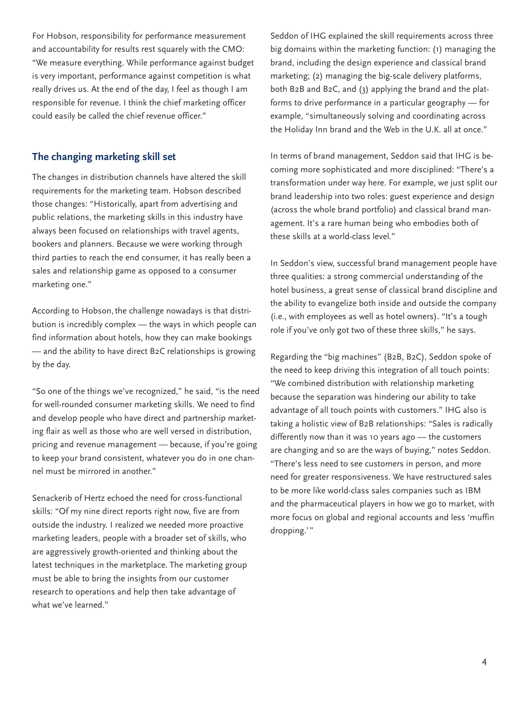For Hobson, responsibility for performance measurement and accountability for results rest squarely with the CMO: "We measure everything. While performance against budget is very important, performance against competition is what really drives us. At the end of the day, I feel as though I am responsible for revenue. I think the chief marketing officer could easily be called the chief revenue officer."

### **The changing marketing skill set**

The changes in distribution channels have altered the skill requirements for the marketing team. Hobson described those changes: "Historically, apart from advertising and public relations, the marketing skills in this industry have always been focused on relationships with travel agents, bookers and planners. Because we were working through third parties to reach the end consumer, it has really been a sales and relationship game as opposed to a consumer marketing one."

According to Hobson, the challenge nowadays is that distribution is incredibly complex — the ways in which people can find information about hotels, how they can make bookings — and the ability to have direct B2C relationships is growing by the day.

"So one of the things we've recognized," he said, "is the need for well-rounded consumer marketing skills. We need to find and develop people who have direct and partnership marketing flair as well as those who are well versed in distribution, pricing and revenue management — because, if you're going to keep your brand consistent, whatever you do in one channel must be mirrored in another."

Senackerib of Hertz echoed the need for cross-functional skills: "Of my nine direct reports right now, five are from outside the industry. I realized we needed more proactive marketing leaders, people with a broader set of skills, who are aggressively growth-oriented and thinking about the latest techniques in the marketplace. The marketing group must be able to bring the insights from our customer research to operations and help then take advantage of what we've learned."

Seddon of IHG explained the skill requirements across three big domains within the marketing function: (1) managing the brand, including the design experience and classical brand marketing; (2) managing the big-scale delivery platforms, both B2B and B2C, and (3) applying the brand and the platforms to drive performance in a particular geography — for example, "simultaneously solving and coordinating across the Holiday Inn brand and the Web in the U.K. all at once."

In terms of brand management, Seddon said that IHG is becoming more sophisticated and more disciplined: "There's a transformation under way here. For example, we just split our brand leadership into two roles: guest experience and design (across the whole brand portfolio) and classical brand management. It's a rare human being who embodies both of these skills at a world-class level."

In Seddon's view, successful brand management people have three qualities: a strong commercial understanding of the hotel business, a great sense of classical brand discipline and the ability to evangelize both inside and outside the company (i.e., with employees as well as hotel owners). "It's a tough role if you've only got two of these three skills," he says.

Regarding the "big machines" (B2B, B2C), Seddon spoke of the need to keep driving this integration of all touch points: "We combined distribution with relationship marketing because the separation was hindering our ability to take advantage of all touch points with customers." IHG also is taking a holistic view of B2B relationships: "Sales is radically differently now than it was 10 years ago — the customers are changing and so are the ways of buying," notes Seddon. "There's less need to see customers in person, and more need for greater responsiveness. We have restructured sales to be more like world-class sales companies such as IBM and the pharmaceutical players in how we go to market, with more focus on global and regional accounts and less 'muffin dropping.'"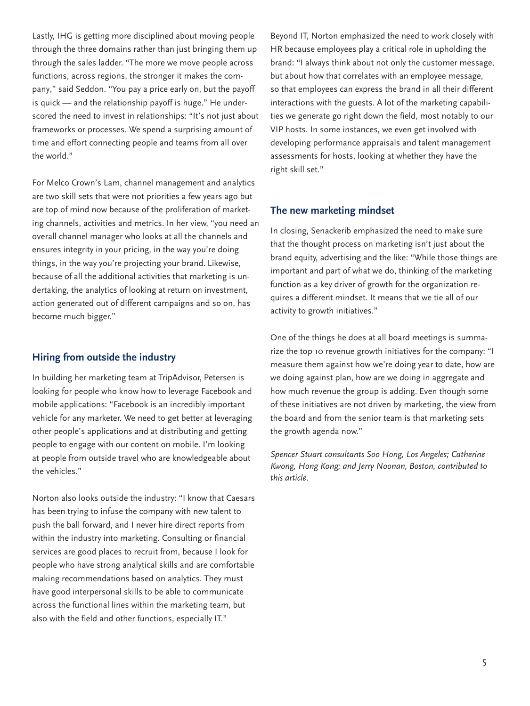Lastly, IHG is getting more disciplined about moving people through the three domains rather than just bringing them up through the sales ladder. "The more we move people across functions, across regions, the stronger it makes the company," said Seddon. "You pay a price early on, but the payoff is quick — and the relationship payoff is huge." He underscored the need to invest in relationships: "It's not just about frameworks or processes. We spend a surprising amount of time and effort connecting people and teams from all over the world."

For Melco Crown's Lam, channel management and analytics are two skill sets that were not priorities a few years ago but are top of mind now because of the proliferation of marketing channels, activities and metrics. In her view, "you need an overall channel manager who looks at all the channels and ensures integrity in your pricing, in the way you're doing things, in the way you're projecting your brand. Likewise, because of all the additional activities that marketing is undertaking, the analytics of looking at return on investment, action generated out of different campaigns and so on, has become much bigger."

#### **Hiring from outside the industry**

In building her marketing team at TripAdvisor, Petersen is looking for people who know how to leverage Facebook and mobile applications: "Facebook is an incredibly important vehicle for any marketer. We need to get better at leveraging other people's applications and at distributing and getting people to engage with our content on mobile. I'm looking at people from outside travel who are knowledgeable about the vehicles."

Norton also looks outside the industry: "I know that Caesars has been trying to infuse the company with new talent to push the ball forward, and I never hire direct reports from within the industry into marketing. Consulting or financial services are good places to recruit from, because I look for people who have strong analytical skills and are comfortable making recommendations based on analytics. They must have good interpersonal skills to be able to communicate across the functional lines within the marketing team, but also with the field and other functions, especially IT."

Beyond IT, Norton emphasized the need to work closely with HR because employees play a critical role in upholding the brand: "I always think about not only the customer message, but about how that correlates with an employee message, so that employees can express the brand in all their different interactions with the guests. A lot of the marketing capabilities we generate go right down the field, most notably to our VIP hosts. In some instances, we even get involved with developing performance appraisals and talent management assessments for hosts, looking at whether they have the right skill set."

#### **The new marketing mindset**

In closing, Senackerib emphasized the need to make sure that the thought process on marketing isn't just about the brand equity, advertising and the like: "While those things are important and part of what we do, thinking of the marketing function as a key driver of growth for the organization requires a different mindset. It means that we tie all of our activity to growth initiatives."

One of the things he does at all board meetings is summarize the top 10 revenue growth initiatives for the company: "I measure them against how we're doing year to date, how are we doing against plan, how are we doing in aggregate and how much revenue the group is adding. Even though some of these initiatives are not driven by marketing, the view from the board and from the senior team is that marketing sets the growth agenda now."

*Spencer Stuart consultants Soo Hong, Los Angeles; Catherine Kwong, Hong Kong; and Jerry Noonan, Boston, contributed to this article.*